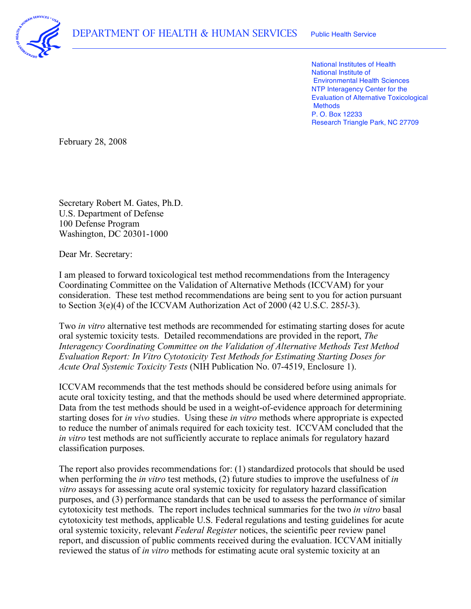

 National Institutes of Health National Institute of Environmental Health Sciences NTP Interagency Center for the Evaluation of Alternative Toxicological P. O. Box 12233 Research Triangle Park, NC 27709 **Methods** 

February 28, 2008

 Secretary Robert M. Gates, Ph.D. U.S. Department of Defense Washington, DC 20301-1000 100 Defense Program

Dear Mr. Secretary:

 I am pleased to forward toxicological test method recommendations from the Interagency Coordinating Committee on the Validation of Alternative Methods (ICCVAM) for your consideration. These test method recommendations are being sent to you for action pursuant to Section 3(e)(4) of the ICCVAM Authorization Act of 2000 (42 U.S.C. 285*l*-3).

 Two *in vitro* alternative test methods are recommended for estimating starting doses for acute oral systemic toxicity tests. Detailed recommendations are provided in the report, *The Interagency Coordinating Committee on the Validation of Alternative Methods Test Method Evaluation Report: In Vitro Cytotoxicity Test Methods for Estimating Starting Doses for Acute Oral Systemic Toxicity Tests* (NIH Publication No. 07-4519, Enclosure 1).

 ICCVAM recommends that the test methods should be considered before using animals for acute oral toxicity testing, and that the methods should be used where determined appropriate. Data from the test methods should be used in a weight-of-evidence approach for determining starting doses for *in vivo* studies. Using these *in vitro* methods where appropriate is expected to reduce the number of animals required for each toxicity test. ICCVAM concluded that the *in vitro* test methods are not sufficiently accurate to replace animals for regulatory hazard classification purposes.

 The report also provides recommendations for: (1) standardized protocols that should be used when performing the *in vitro* test methods, (2) future studies to improve the usefulness of *in vitro* assays for assessing acute oral systemic toxicity for regulatory hazard classification purposes, and (3) performance standards that can be used to assess the performance of similar cytotoxicity test methods. The report includes technical summaries for the two *in vitro* basal cytotoxicity test methods, applicable U.S. Federal regulations and testing guidelines for acute oral systemic toxicity, relevant *Federal Register* notices, the scientific peer review panel report, and discussion of public comments received during the evaluation. ICCVAM initially reviewed the status of *in vitro* methods for estimating acute oral systemic toxicity at an